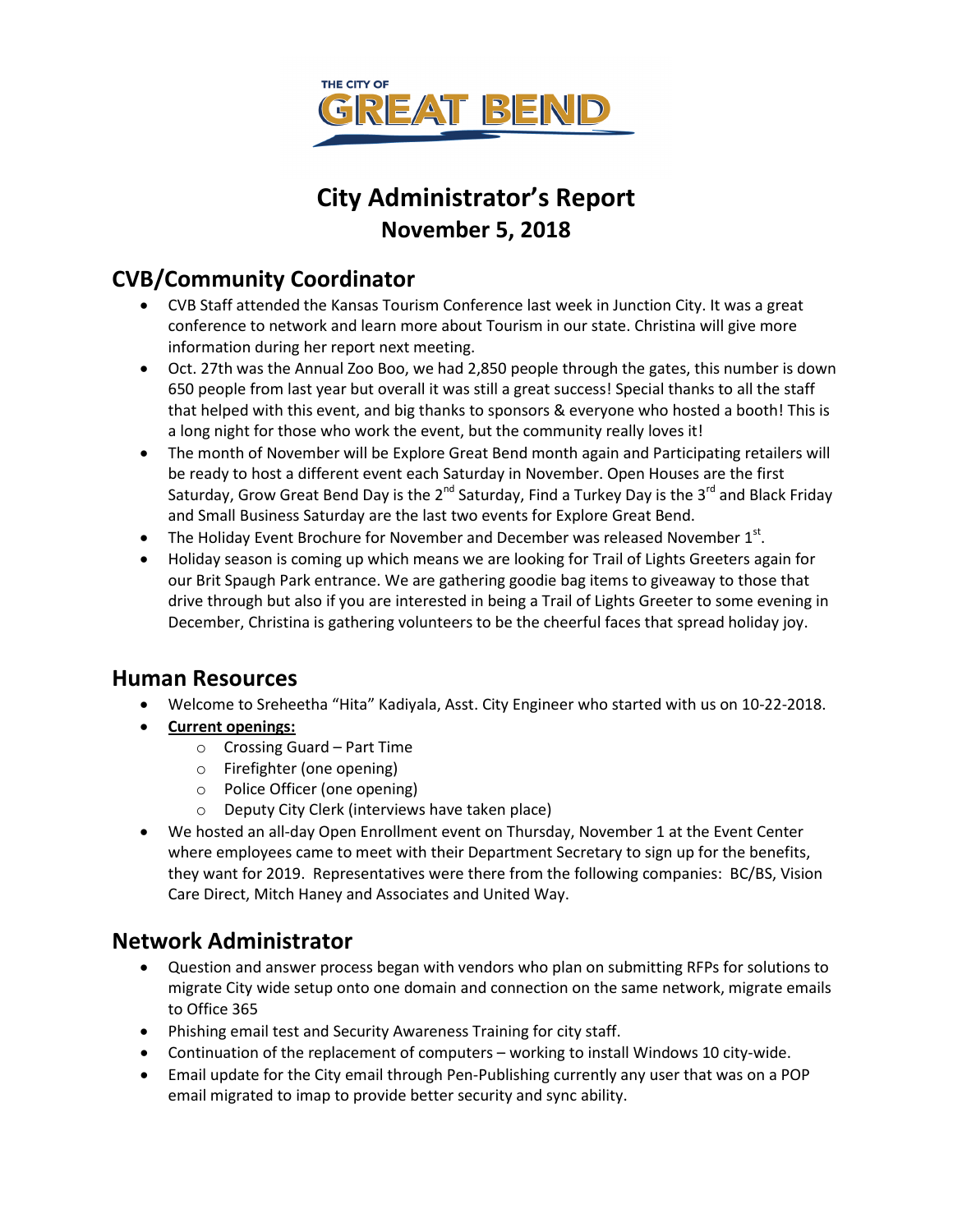

# **City Administrator's Report November 5, 2018**

# **CVB/Community Coordinator**

- CVB Staff attended the Kansas Tourism Conference last week in Junction City. It was a great conference to network and learn more about Tourism in our state. Christina will give more information during her report next meeting.
- Oct. 27th was the Annual Zoo Boo, we had 2,850 people through the gates, this number is down 650 people from last year but overall it was still a great success! Special thanks to all the staff that helped with this event, and big thanks to sponsors & everyone who hosted a booth! This is a long night for those who work the event, but the community really loves it!
- The month of November will be Explore Great Bend month again and Participating retailers will be ready to host a different event each Saturday in November. Open Houses are the first Saturday, Grow Great Bend Day is the  $2^{nd}$  Saturday, Find a Turkey Day is the 3<sup>rd</sup> and Black Friday and Small Business Saturday are the last two events for Explore Great Bend.
- The Holiday Event Brochure for November and December was released November  $1<sup>st</sup>$ .
- Holiday season is coming up which means we are looking for Trail of Lights Greeters again for our Brit Spaugh Park entrance. We are gathering goodie bag items to giveaway to those that drive through but also if you are interested in being a Trail of Lights Greeter to some evening in December, Christina is gathering volunteers to be the cheerful faces that spread holiday joy.

### **Human Resources**

- Welcome to Sreheetha "Hita" Kadiyala, Asst. City Engineer who started with us on 10-22-2018.
- **Current openings:**
	- o Crossing Guard Part Time
	- o Firefighter (one opening)
	- o Police Officer (one opening)
	- o Deputy City Clerk (interviews have taken place)
- We hosted an all-day Open Enrollment event on Thursday, November 1 at the Event Center where employees came to meet with their Department Secretary to sign up for the benefits, they want for 2019. Representatives were there from the following companies: BC/BS, Vision Care Direct, Mitch Haney and Associates and United Way.

### **Network Administrator**

- Question and answer process began with vendors who plan on submitting RFPs for solutions to migrate City wide setup onto one domain and connection on the same network, migrate emails to Office 365
- Phishing email test and Security Awareness Training for city staff.
- Continuation of the replacement of computers working to install Windows 10 city-wide.
- Email update for the City email through Pen-Publishing currently any user that was on a POP email migrated to imap to provide better security and sync ability.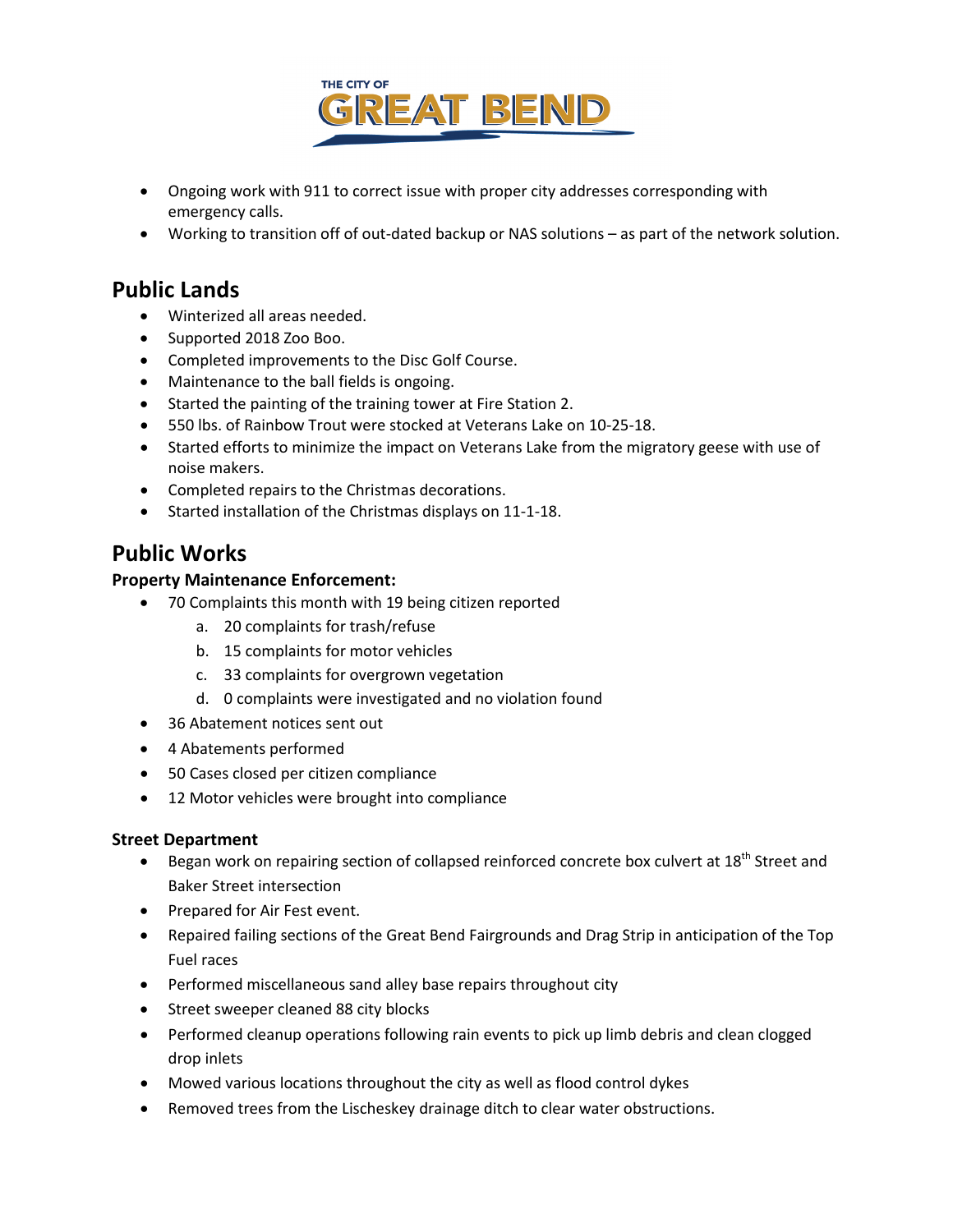

- Ongoing work with 911 to correct issue with proper city addresses corresponding with emergency calls.
- Working to transition off of out-dated backup or NAS solutions as part of the network solution.

### **Public Lands**

- Winterized all areas needed.
- Supported 2018 Zoo Boo.
- Completed improvements to the Disc Golf Course.
- Maintenance to the ball fields is ongoing.
- Started the painting of the training tower at Fire Station 2.
- 550 lbs. of Rainbow Trout were stocked at Veterans Lake on 10-25-18.
- Started efforts to minimize the impact on Veterans Lake from the migratory geese with use of noise makers.
- Completed repairs to the Christmas decorations.
- Started installation of the Christmas displays on 11-1-18.

## **Public Works**

#### **Property Maintenance Enforcement:**

- 70 Complaints this month with 19 being citizen reported
	- a. 20 complaints for trash/refuse
	- b. 15 complaints for motor vehicles
	- c. 33 complaints for overgrown vegetation
	- d. 0 complaints were investigated and no violation found
- 36 Abatement notices sent out
- 4 Abatements performed
- 50 Cases closed per citizen compliance
- 12 Motor vehicles were brought into compliance

#### **Street Department**

- Began work on repairing section of collapsed reinforced concrete box culvert at 18<sup>th</sup> Street and Baker Street intersection
- Prepared for Air Fest event.
- Repaired failing sections of the Great Bend Fairgrounds and Drag Strip in anticipation of the Top Fuel races
- Performed miscellaneous sand alley base repairs throughout city
- Street sweeper cleaned 88 city blocks
- Performed cleanup operations following rain events to pick up limb debris and clean clogged drop inlets
- Mowed various locations throughout the city as well as flood control dykes
- Removed trees from the Lischeskey drainage ditch to clear water obstructions.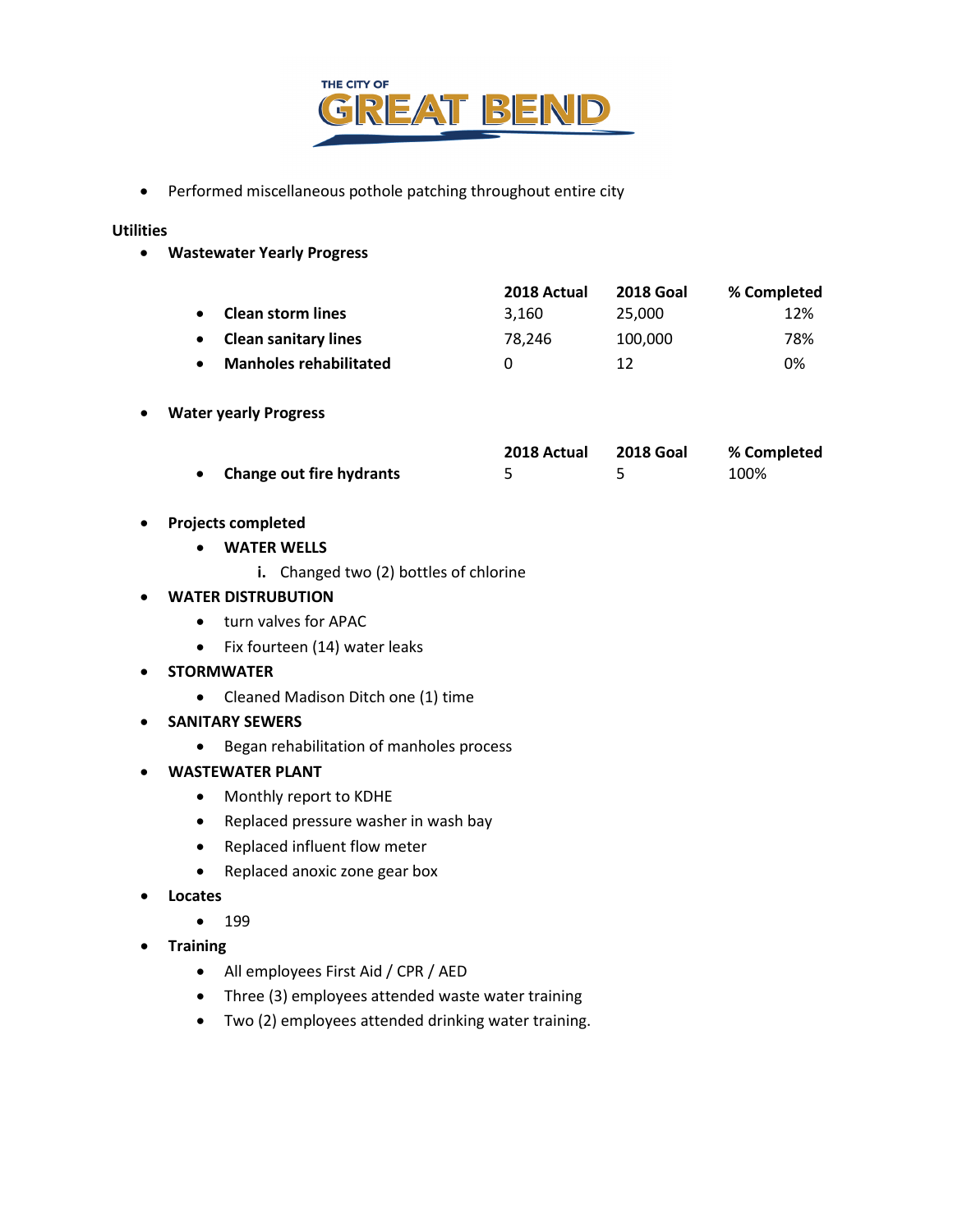

• Performed miscellaneous pothole patching throughout entire city

#### **Utilities**

• **Wastewater Yearly Progress**

|                               | 2018 Actual  | <b>2018 Goal</b> | % Completed |
|-------------------------------|--------------|------------------|-------------|
| <b>Clean storm lines</b>      | 3.160        | 25,000           | 12%         |
| <b>Clean sanitary lines</b>   | 78.246       | 100,000          | 78%         |
| <b>Manholes rehabilitated</b> | $\mathbf{I}$ | 12               | 0%          |

#### • **Water yearly Progress**

|                            | 2018 Actual | 2018 Goal | % Completed |  |
|----------------------------|-------------|-----------|-------------|--|
| • Change out fire hydrants |             |           | 100%        |  |

- **Projects completed**
	- **WATER WELLS**
		- **i.** Changed two (2) bottles of chlorine

#### • **WATER DISTRUBUTION**

- turn valves for APAC
- Fix fourteen (14) water leaks
- **STORMWATER**
	- Cleaned Madison Ditch one (1) time
- **SANITARY SEWERS**
	- Began rehabilitation of manholes process
- **WASTEWATER PLANT**
	- Monthly report to KDHE
	- Replaced pressure washer in wash bay
	- Replaced influent flow meter
	- Replaced anoxic zone gear box
- **Locates**
	- 199
- **Training**
	- All employees First Aid / CPR / AED
	- Three (3) employees attended waste water training
	- Two (2) employees attended drinking water training.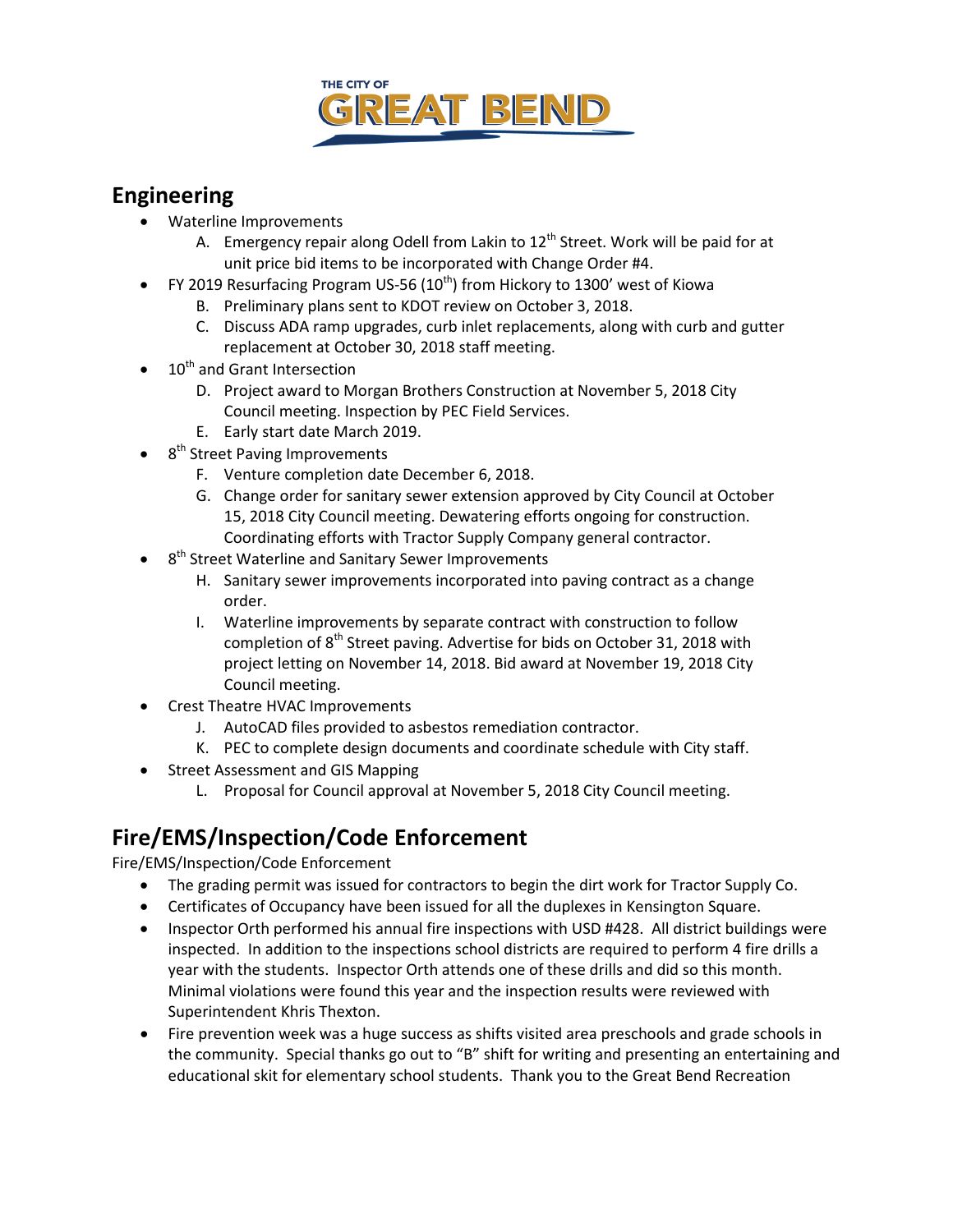

# **Engineering**

- Waterline Improvements
	- A. Emergency repair along Odell from Lakin to  $12<sup>th</sup>$  Street. Work will be paid for at unit price bid items to be incorporated with Change Order #4.
- FY 2019 Resurfacing Program US-56  $(10<sup>th</sup>)$  from Hickory to 1300' west of Kiowa
	- B. Preliminary plans sent to KDOT review on October 3, 2018.
	- C. Discuss ADA ramp upgrades, curb inlet replacements, along with curb and gutter replacement at October 30, 2018 staff meeting.
- 10<sup>th</sup> and Grant Intersection
	- D. Project award to Morgan Brothers Construction at November 5, 2018 City Council meeting. Inspection by PEC Field Services.
	- E. Early start date March 2019.
- 8<sup>th</sup> Street Paving Improvements
	- F. Venture completion date December 6, 2018.
	- G. Change order for sanitary sewer extension approved by City Council at October 15, 2018 City Council meeting. Dewatering efforts ongoing for construction. Coordinating efforts with Tractor Supply Company general contractor.
- 8<sup>th</sup> Street Waterline and Sanitary Sewer Improvements
	- H. Sanitary sewer improvements incorporated into paving contract as a change order.
	- I. Waterline improvements by separate contract with construction to follow completion of  $8<sup>th</sup>$  Street paving. Advertise for bids on October 31, 2018 with project letting on November 14, 2018. Bid award at November 19, 2018 City Council meeting.
- Crest Theatre HVAC Improvements
	- J. AutoCAD files provided to asbestos remediation contractor.
	- K. PEC to complete design documents and coordinate schedule with City staff.
- Street Assessment and GIS Mapping
	- L. Proposal for Council approval at November 5, 2018 City Council meeting.

# **Fire/EMS/Inspection/Code Enforcement**

Fire/EMS/Inspection/Code Enforcement

- The grading permit was issued for contractors to begin the dirt work for Tractor Supply Co.
- Certificates of Occupancy have been issued for all the duplexes in Kensington Square.
- Inspector Orth performed his annual fire inspections with USD #428. All district buildings were inspected. In addition to the inspections school districts are required to perform 4 fire drills a year with the students. Inspector Orth attends one of these drills and did so this month. Minimal violations were found this year and the inspection results were reviewed with Superintendent Khris Thexton.
- Fire prevention week was a huge success as shifts visited area preschools and grade schools in the community. Special thanks go out to "B" shift for writing and presenting an entertaining and educational skit for elementary school students. Thank you to the Great Bend Recreation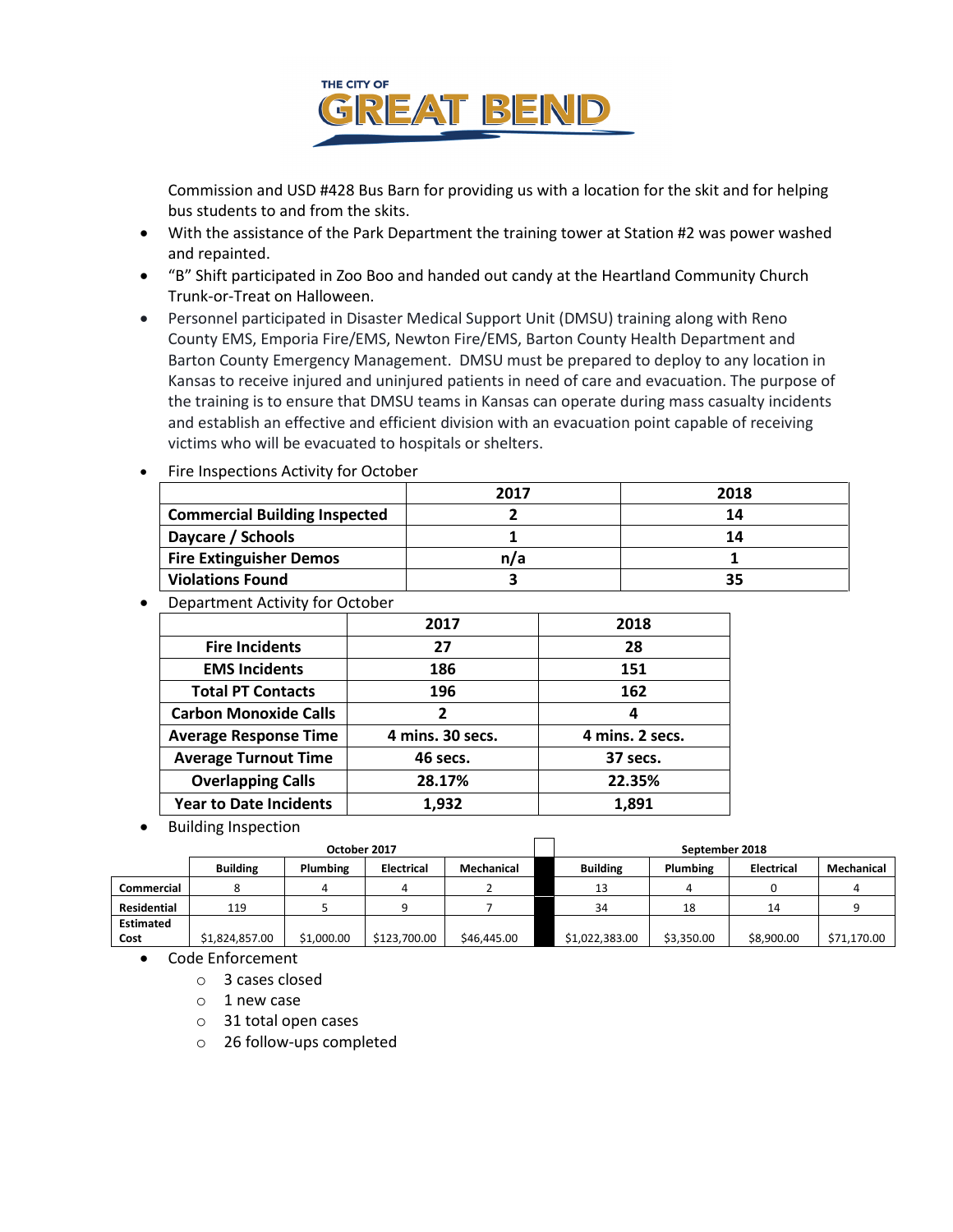

Commission and USD #428 Bus Barn for providing us with a location for the skit and for helping bus students to and from the skits.

- With the assistance of the Park Department the training tower at Station #2 was power washed and repainted.
- "B" Shift participated in Zoo Boo and handed out candy at the Heartland Community Church Trunk-or-Treat on Halloween.
- Personnel participated in Disaster Medical Support Unit (DMSU) training along with Reno County EMS, Emporia Fire/EMS, Newton Fire/EMS, Barton County Health Department and Barton County Emergency Management. DMSU must be prepared to deploy to any location in Kansas to receive injured and uninjured patients in need of care and evacuation. The purpose of the training is to ensure that DMSU teams in Kansas can operate during mass casualty incidents and establish an effective and efficient division with an evacuation point capable of receiving victims who will be evacuated to hospitals or shelters.

|                                      | 2017 | 2018 |
|--------------------------------------|------|------|
| <b>Commercial Building Inspected</b> |      | 14   |
| Daycare / Schools                    |      | 14   |
| <b>Fire Extinguisher Demos</b>       | n/a  |      |
| <b>Violations Found</b>              |      | 35   |

- Fire Inspections Activity for October
- Department Activity for October

|                               | 2017             | 2018            |
|-------------------------------|------------------|-----------------|
| <b>Fire Incidents</b>         | 27               | 28              |
| <b>EMS Incidents</b>          | 186              | 151             |
| <b>Total PT Contacts</b>      | 196              | 162             |
| <b>Carbon Monoxide Calls</b>  | 2                | 4               |
| <b>Average Response Time</b>  | 4 mins. 30 secs. | 4 mins. 2 secs. |
| <b>Average Turnout Time</b>   | 46 secs.         | 37 secs.        |
| <b>Overlapping Calls</b>      | 28.17%           | 22.35%          |
| <b>Year to Date Incidents</b> | 1,932            | 1,891           |

• Building Inspection

|                  | October 2017    |            |                   | September 2018 |                 |            |                   |             |
|------------------|-----------------|------------|-------------------|----------------|-----------------|------------|-------------------|-------------|
|                  | <b>Building</b> | Plumbing   | <b>Electrical</b> | Mechanical     | <b>Building</b> | Plumbing   | <b>Electrical</b> | Mechanical  |
| Commercial       |                 |            |                   |                | 13              |            |                   |             |
| Residential      | 119             |            |                   |                | 34              | 18         | 14                |             |
| <b>Estimated</b> |                 |            |                   |                |                 |            |                   |             |
| Cost             | \$1,824,857.00  | \$1,000.00 | \$123,700.00      | \$46,445.00    | \$1,022,383.00  | \$3,350.00 | \$8,900.00        | \$71,170.00 |

- Code Enforcement
	- o 3 cases closed
	- o 1 new case
	- o 31 total open cases
	- o 26 follow-ups completed